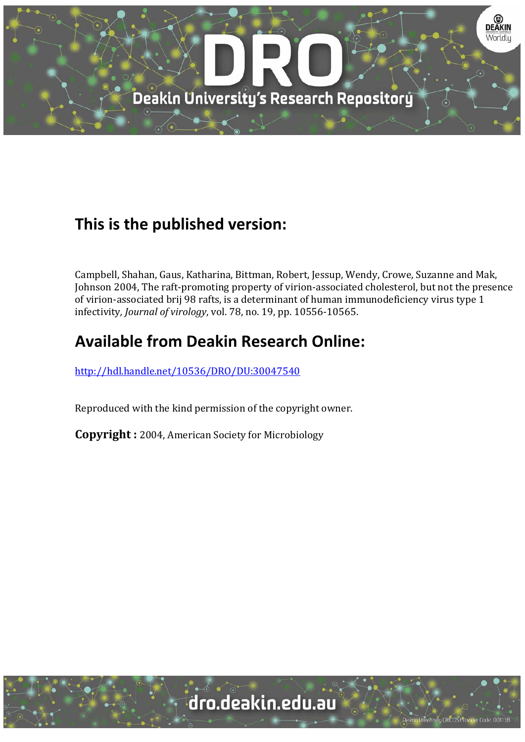

# **This is the published version:**

Campbell, Shahan, Gaus, Katharina, Bittman, Robert, Jessup, Wendy, Crowe, Suzanne and Mak, Johnson 2004, The raft-promoting property of virion-associated cholesterol, but not the presence of virion-associated brij 98 rafts, is a determinant of human immunodeficiency virus type 1 infectivity*, Journal of virology*, vol. 78, no. 19, pp. 10556‐10565. 

# **Available from Deakin Research Online:**

http://hdl.handle.net/10536/DRO/DU:30047540

Reproduced with the kind permission of the copyright owner.

**Copyright** : 2004, American Society for Microbiology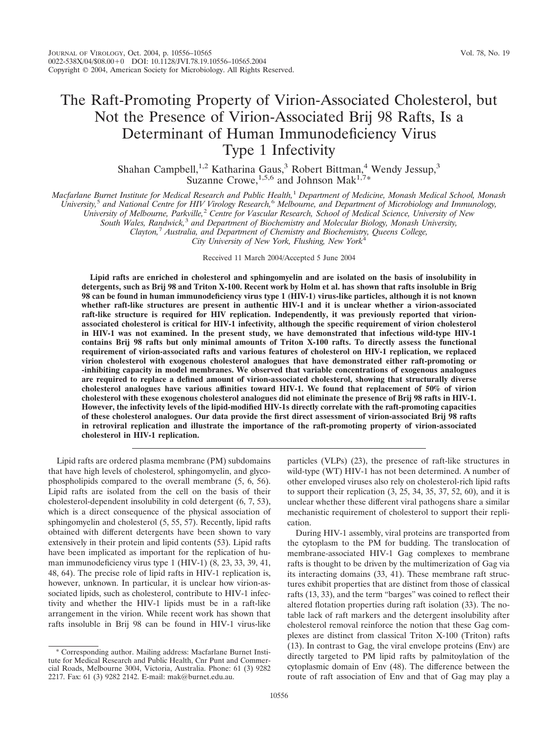## The Raft-Promoting Property of Virion-Associated Cholesterol, but Not the Presence of Virion-Associated Brij 98 Rafts, Is a Determinant of Human Immunodeficiency Virus Type 1 Infectivity

Shahan Campbell,<sup>1,2</sup> Katharina Gaus,<sup>3</sup> Robert Bittman,<sup>4</sup> Wendy Jessup,<sup>3</sup> Suzanne Crowe,  $^{1,5,6}$  and Johnson Mak<sup>1,7\*</sup>

*Macfarlane Burnet Institute for Medical Research and Public Health,*<sup>1</sup> *Department of Medicine, Monash Medical School, Monash University,*<sup>5</sup> *and National Centre for HIV Virology Research,*<sup>6</sup> *Melbourne, and Department of Microbiology and Immunology, University of Melbourne, Parkville,*<sup>2</sup> *Centre for Vascular Research, School of Medical Science, University of New South Wales, Randwick,*<sup>3</sup> *and Department of Biochemistry and Molecular Biology, Monash University,*

*Clayton,*<sup>7</sup> *Australia, and Department of Chemistry and Biochemistry, Queens College,*

*City University of New York, Flushing, New York*<sup>4</sup>

Received 11 March 2004/Accepted 5 June 2004

**Lipid rafts are enriched in cholesterol and sphingomyelin and are isolated on the basis of insolubility in detergents, such as Brij 98 and Triton X-100. Recent work by Holm et al. has shown that rafts insoluble in Brig 98 can be found in human immunodeficiency virus type 1 (HIV-1) virus-like particles, although it is not known whether raft-like structures are present in authentic HIV-1 and it is unclear whether a virion-associated raft-like structure is required for HIV replication. Independently, it was previously reported that virionassociated cholesterol is critical for HIV-1 infectivity, although the specific requirement of virion cholesterol in HIV-1 was not examined. In the present study, we have demonstrated that infectious wild-type HIV-1 contains Brij 98 rafts but only minimal amounts of Triton X-100 rafts. To directly assess the functional requirement of virion-associated rafts and various features of cholesterol on HIV-1 replication, we replaced virion cholesterol with exogenous cholesterol analogues that have demonstrated either raft-promoting or -inhibiting capacity in model membranes. We observed that variable concentrations of exogenous analogues are required to replace a defined amount of virion-associated cholesterol, showing that structurally diverse cholesterol analogues have various affinities toward HIV-1. We found that replacement of 50% of virion cholesterol with these exogenous cholesterol analogues did not eliminate the presence of Brij 98 rafts in HIV-1. However, the infectivity levels of the lipid-modified HIV-1s directly correlate with the raft-promoting capacities of these cholesterol analogues. Our data provide the first direct assessment of virion-associated Brij 98 rafts in retroviral replication and illustrate the importance of the raft-promoting property of virion-associated cholesterol in HIV-1 replication.**

Lipid rafts are ordered plasma membrane (PM) subdomains that have high levels of cholesterol, sphingomyelin, and glycophospholipids compared to the overall membrane (5, 6, 56). Lipid rafts are isolated from the cell on the basis of their cholesterol-dependent insolubility in cold detergent (6, 7, 53), which is a direct consequence of the physical association of sphingomyelin and cholesterol (5, 55, 57). Recently, lipid rafts obtained with different detergents have been shown to vary extensively in their protein and lipid contents (53). Lipid rafts have been implicated as important for the replication of human immunodeficiency virus type 1 (HIV-1) (8, 23, 33, 39, 41, 48, 64). The precise role of lipid rafts in HIV-1 replication is, however, unknown. In particular, it is unclear how virion-associated lipids, such as cholesterol, contribute to HIV-1 infectivity and whether the HIV-1 lipids must be in a raft-like arrangement in the virion. While recent work has shown that rafts insoluble in Brij 98 can be found in HIV-1 virus-like

particles (VLPs) (23), the presence of raft-like structures in wild-type (WT) HIV-1 has not been determined. A number of other enveloped viruses also rely on cholesterol-rich lipid rafts to support their replication (3, 25, 34, 35, 37, 52, 60), and it is unclear whether these different viral pathogens share a similar mechanistic requirement of cholesterol to support their replication.

During HIV-1 assembly, viral proteins are transported from the cytoplasm to the PM for budding. The translocation of membrane-associated HIV-1 Gag complexes to membrane rafts is thought to be driven by the multimerization of Gag via its interacting domains (33, 41). These membrane raft structures exhibit properties that are distinct from those of classical rafts (13, 33), and the term "barges" was coined to reflect their altered flotation properties during raft isolation (33). The notable lack of raft markers and the detergent insolubility after cholesterol removal reinforce the notion that these Gag complexes are distinct from classical Triton X-100 (Triton) rafts (13). In contrast to Gag, the viral envelope proteins (Env) are directly targeted to PM lipid rafts by palmitoylation of the cytoplasmic domain of Env (48). The difference between the route of raft association of Env and that of Gag may play a

<sup>\*</sup> Corresponding author. Mailing address: Macfarlane Burnet Institute for Medical Research and Public Health, Cnr Punt and Commercial Roads, Melbourne 3004, Victoria, Australia. Phone: 61 (3) 9282 2217. Fax: 61 (3) 9282 2142. E-mail: mak@burnet.edu.au.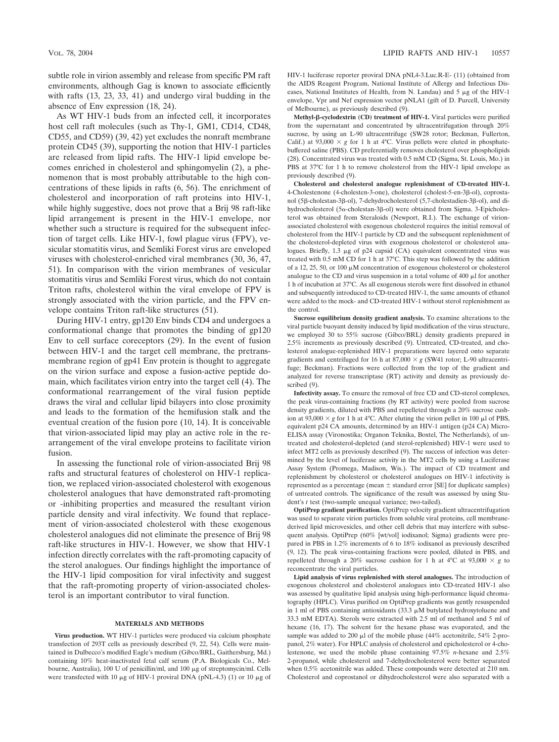subtle role in virion assembly and release from specific PM raft environments, although Gag is known to associate efficiently with rafts (13, 23, 33, 41) and undergo viral budding in the absence of Env expression (18, 24).

As WT HIV-1 buds from an infected cell, it incorporates host cell raft molecules (such as Thy-1, GM1, CD14, CD48, CD55, and CD59) (39, 42) yet excludes the nonraft membrane protein CD45 (39), supporting the notion that HIV-1 particles are released from lipid rafts. The HIV-1 lipid envelope becomes enriched in cholesterol and sphingomyelin (2), a phenomenon that is most probably attributable to the high concentrations of these lipids in rafts (6, 56). The enrichment of cholesterol and incorporation of raft proteins into HIV-1, while highly suggestive, does not prove that a Brij 98 raft-like lipid arrangement is present in the HIV-1 envelope, nor whether such a structure is required for the subsequent infection of target cells. Like HIV-1, fowl plague virus (FPV), vesicular stomatitis virus, and Semliki Forest virus are enveloped viruses with cholesterol-enriched viral membranes (30, 36, 47, 51). In comparison with the virion membranes of vesicular stomatitis virus and Semliki Forest virus, which do not contain Triton rafts, cholesterol within the viral envelope of FPV is strongly associated with the virion particle, and the FPV envelope contains Triton raft-like structures (51).

During HIV-1 entry, gp120 Env binds CD4 and undergoes a conformational change that promotes the binding of gp120 Env to cell surface coreceptors (29). In the event of fusion between HIV-1 and the target cell membrane, the pretransmembrane region of gp41 Env protein is thought to aggregate on the virion surface and expose a fusion-active peptide domain, which facilitates virion entry into the target cell (4). The conformational rearrangement of the viral fusion peptide draws the viral and cellular lipid bilayers into close proximity and leads to the formation of the hemifusion stalk and the eventual creation of the fusion pore (10, 14). It is conceivable that virion-associated lipid may play an active role in the rearrangement of the viral envelope proteins to facilitate virion fusion.

In assessing the functional role of virion-associated Brij 98 rafts and structural features of cholesterol on HIV-1 replication, we replaced virion-associated cholesterol with exogenous cholesterol analogues that have demonstrated raft-promoting or -inhibiting properties and measured the resultant virion particle density and viral infectivity. We found that replacement of virion-associated cholesterol with these exogenous cholesterol analogues did not eliminate the presence of Brij 98 raft-like structures in HIV-1. However, we show that HIV-1 infection directly correlates with the raft-promoting capacity of the sterol analogues. Our findings highlight the importance of the HIV-1 lipid composition for viral infectivity and suggest that the raft-promoting property of virion-associated cholesterol is an important contributor to viral function.

#### **MATERIALS AND METHODS**

**Virus production.** WT HIV-1 particles were produced via calcium phosphate transfection of 293T cells as previously described (9, 22, 54). Cells were maintained in Dulbecco's modified Eagle's medium (Gibco/BRL, Gaithersburg, Md.) containing 10% heat-inactivated fetal calf serum (P.A. Biologicals Co., Melbourne, Australia), 100 U of penicillin/ml, and 100 μg of streptomycin/ml. Cells were transfected with 10  $\mu$ g of HIV-1 proviral DNA (pNL-4.3) (1) or 10  $\mu$ g of

HIV-1 luciferase reporter proviral DNA pNL4-3.Luc.R-E- (11) (obtained from the AIDS Reagent Program, National Institute of Allergy and Infectious Diseases, National Institutes of Health, from N. Landau) and  $5 \mu$ g of the HIV-1 envelope, Vpr and Nef expression vector pNLA1 (gift of D. Purcell, University of Melbourne), as previously described (9).

**Methyl--cyclodextrin (CD) treatment of HIV-1.** Viral particles were purified from the supernatant and concentrated by ultracentrifugation through 20% sucrose, by using an L-90 ultracentrifuge (SW28 rotor; Beckman, Fullerton, Calif.) at  $93,000 \times g$  for 1 h at 4°C. Virus pellets were eluted in phosphatebuffered saline (PBS). CD preferentially removes cholesterol over phospholipids (28). Concentrated virus was treated with 0.5 mM CD (Sigma, St. Louis, Mo.) in PBS at 37°C for 1 h to remove cholesterol from the HIV-1 lipid envelope as previously described (9).

**Cholesterol and cholesterol analogue replenishment of CD-treated HIV-1.** 4-Cholestenone (4-cholesten-3-one), cholesterol (cholest-5-en-3 $\beta$ -ol), coprostanol (5β-cholestan-3β-ol), 7-dehydrocholesterol (5,7-cholestadien-3β-ol), and dihydrocholesterol (5α-cholestan-3β-ol) were obtained from Sigma. 3-Epicholesterol was obtained from Steraloids (Newport, R.I.). The exchange of virionassociated cholesterol with exogenous cholesterol requires the initial removal of cholesterol from the HIV-1 particle by CD and the subsequent replenishment of the cholesterol-depleted virus with exogenous cholesterol or cholesterol analogues. Briefly, 1.3 μg of p24 capsid (CA) equivalent concentrated virus was treated with 0.5 mM CD for 1 h at 37°C. This step was followed by the addition of a 12, 25, 50, or 100  $\mu$ M concentration of exogenous cholesterol or cholesterol analogue to the CD and virus suspension in a total volume of  $400 \mu$  I for another 1 h of incubation at 37°C. As all exogenous sterols were first dissolved in ethanol and subsequently introduced to CD-treated HIV-1, the same amounts of ethanol were added to the mock- and CD-treated HIV-1 without sterol replenishment as the control.

**Sucrose equilibrium density gradient analysis.** To examine alterations to the viral particle buoyant density induced by lipid modification of the virus structure, we employed 30 to 55% sucrose (Gibco/BRL) density gradients prepared in 2.5% increments as previously described (9). Untreated, CD-treated, and cholesterol analogue-replenished HIV-1 preparations were layered onto separate gradients and centrifuged for 16 h at  $87,000 \times g$  (SW41 rotor; L-90 ultracentrifuge; Beckman). Fractions were collected from the top of the gradient and analyzed for reverse transcriptase (RT) activity and density as previously described (9).

**Infectivity assay.** To ensure the removal of free CD and CD-sterol complexes, the peak virus-containing fractions (by RT activity) were pooled from sucrose density gradients, diluted with PBS and repelleted through a 20% sucrose cushion at  $93,000 \times g$  for 1 h at 4°C. After eluting the virion pellet in 100  $\mu$ l of PBS, equivalent p24 CA amounts, determined by an HIV-1 antigen (p24 CA) Micro-ELISA assay (Vironostika; Organon Teknika, Boxtel, The Netherlands), of untreated and cholesterol-depleted (and sterol-replenished) HIV-1 were used to infect MT2 cells as previously described (9). The success of infection was determined by the level of luciferase activity in the MT2 cells by using a Luciferase Assay System (Promega, Madison, Wis.). The impact of CD treatment and replenishment by cholesterol or cholesterol analogues on HIV-1 infectivity is represented as a percentage (mean  $\pm$  standard error [SE] for duplicate samples) of untreated controls. The significance of the result was assessed by using Student's *t* test (two-sample unequal variance; two-tailed).

**OptiPrep gradient purification.** OptiPrep velocity gradient ultracentrifugation was used to separate virion particles from soluble viral proteins, cell membranederived lipid microvesicles, and other cell debris that may interfere with subsequent analysis. OptiPrep (60% [wt/vol] iodixanol; Sigma) gradients were prepared in PBS in 1.2% increments of 6 to 18% iodixanol as previously described (9, 12). The peak virus-containing fractions were pooled, diluted in PBS, and repelleted through a 20% sucrose cushion for 1 h at 4°C at 93,000  $\times$  g to reconcentrate the viral particles.

**Lipid analysis of virus replenished with sterol analogues.** The introduction of exogenous cholesterol and cholesterol analogues into CD-treated HIV-1 also was assessed by qualitative lipid analysis using high-performance liquid chromatography (HPLC). Virus purified on OptiPrep gradients was gently resuspended in 1 ml of PBS containing antioxidants  $(33.3 \mu M)$  butylated hydroxytoluene and 33.3 mM EDTA). Sterols were extracted with 2.5 ml of methanol and 5 ml of hexane (16, 17). The solvent for the hexane phase was evaporated, and the sample was added to 200  $\mu$ l of the mobile phase (44% acetonitrile, 54% 2-propanol, 2% water). For HPLC analysis of cholesterol and epicholesterol or 4-cholestenone, we used the mobile phase containing 97.5% *n*-hexane and 2.5% 2-propanol, while cholesterol and 7-dehydrocholesterol were better separated when 0.5% acetonitrile was added. These compounds were detected at 210 nm. Cholesterol and coprostanol or dihydrocholesterol were also separated with a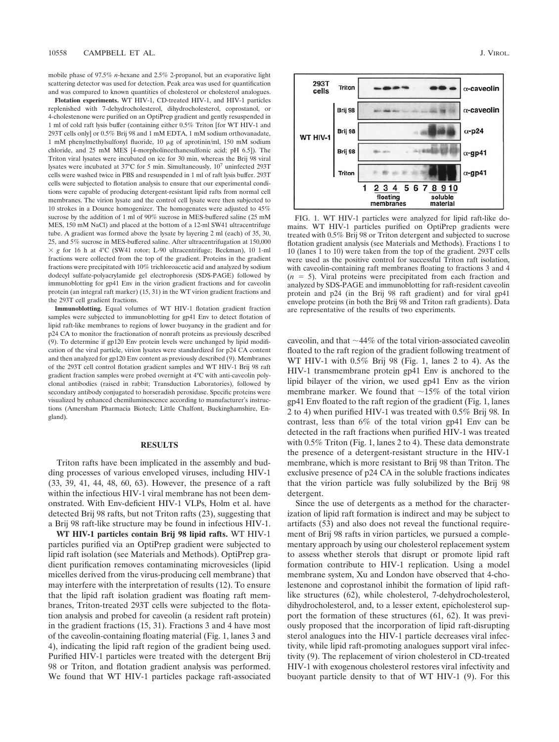mobile phase of 97.5% *n*-hexane and 2.5% 2-propanol, but an evaporative light scattering detector was used for detection. Peak area was used for quantification and was compared to known quantities of cholesterol or cholesterol analogues.

**Flotation experiments.** WT HIV-1, CD-treated HIV-1, and HIV-1 particles replenished with 7-dehydrocholesterol, dihydrocholesterol, coprostanol, or 4-cholestenone were purified on an OptiPrep gradient and gently resuspended in 1 ml of cold raft lysis buffer (containing either 0.5% Triton [for WT HIV-1 and 293T cells only] or 0.5% Brij 98 and 1 mM EDTA, 1 mM sodium orthovanadate,  $1 \text{ mM phenylmethylsulfonyl fluoride}, 10 \mu g of aprotinin/ml, 150 \mu M sodium$ chloride, and 25 mM MES [4-morpholineethanesulfonic acid; pH 6.5]). The Triton viral lysates were incubated on ice for 30 min, whereas the Brij 98 viral lysates were incubated at 37°C for 5 min. Simultaneously, 10<sup>7</sup> uninfected 293T cells were washed twice in PBS and resuspended in 1 ml of raft lysis buffer. 293T cells were subjected to flotation analysis to ensure that our experimental conditions were capable of producing detergent-resistant lipid rafts from normal cell membranes. The virion lysate and the control cell lysate were then subjected to 10 strokes in a Dounce homogenizer. The homogenates were adjusted to 45% sucrose by the addition of 1 ml of 90% sucrose in MES-buffered saline (25 mM MES, 150 mM NaCl) and placed at the bottom of a 12-ml SW41 ultracentrifuge tube. A gradient was formed above the lysate by layering 2 ml (each) of 35, 30, 25, and 5% sucrose in MES-buffered saline. After ultracentrifugation at 150,000  $\times g$  for 16 h at 4°C (SW41 rotor; L-90 ultracentrifuge; Beckman), 10 1-ml fractions were collected from the top of the gradient. Proteins in the gradient fractions were precipitated with 10% trichloroacetic acid and analyzed by sodium dodecyl sulfate-polyacrylamide gel electrophoresis (SDS-PAGE) followed by immunoblotting for gp41 Env in the virion gradient fractions and for caveolin protein (an integral raft marker) (15, 31) in the WT virion gradient fractions and the 293T cell gradient fractions.

**Immunoblotting.** Equal volumes of WT HIV-1 flotation gradient fraction samples were subjected to immunoblotting for gp41 Env to detect flotation of lipid raft-like membranes to regions of lower buoyancy in the gradient and for p24 CA to monitor the fractionation of nonraft proteins as previously described (9). To determine if gp120 Env protein levels were unchanged by lipid modification of the viral particle, virion lysates were standardized for p24 CA content and then analyzed for gp120 Env content as previously described (9). Membranes of the 293T cell control flotation gradient samples and WT HIV-1 Brij 98 raft gradient fraction samples were probed overnight at 4°C with anti-caveolin polyclonal antibodies (raised in rabbit; Transduction Laboratories), followed by secondary antibody conjugated to horseradish peroxidase. Specific proteins were visualized by enhanced chemiluminescence according to manufacturer's instructions (Amersham Pharmacia Biotech; Little Chalfont, Buckinghamshire, England).

### **RESULTS**

Triton rafts have been implicated in the assembly and budding processes of various enveloped viruses, including HIV-1 (33, 39, 41, 44, 48, 60, 63). However, the presence of a raft within the infectious HIV-1 viral membrane has not been demonstrated. With Env-deficient HIV-1 VLPs, Holm et al. have detected Brij 98 rafts, but not Triton rafts (23), suggesting that a Brij 98 raft-like structure may be found in infectious HIV-1.

**WT HIV-1 particles contain Brij 98 lipid rafts.** WT HIV-1 particles purified via an OptiPrep gradient were subjected to lipid raft isolation (see Materials and Methods). OptiPrep gradient purification removes contaminating microvesicles (lipid micelles derived from the virus-producing cell membrane) that may interfere with the interpretation of results (12). To ensure that the lipid raft isolation gradient was floating raft membranes, Triton-treated 293T cells were subjected to the flotation analysis and probed for caveolin (a resident raft protein) in the gradient fractions (15, 31). Fractions 3 and 4 have most of the caveolin-containing floating material (Fig. 1, lanes 3 and 4), indicating the lipid raft region of the gradient being used. Purified HIV-1 particles were treated with the detergent Brij 98 or Triton, and flotation gradient analysis was performed. We found that WT HIV-1 particles package raft-associated



FIG. 1. WT HIV-1 particles were analyzed for lipid raft-like domains. WT HIV-1 particles purified on OptiPrep gradients were treated with 0.5% Brij 98 or Triton detergent and subjected to sucrose flotation gradient analysis (see Materials and Methods). Fractions 1 to 10 (lanes 1 to 10) were taken from the top of the gradient. 293T cells were used as the positive control for successful Triton raft isolation, with caveolin-containing raft membranes floating to fractions 3 and 4  $(n = 5)$ . Viral proteins were precipitated from each fraction and analyzed by SDS-PAGE and immunoblotting for raft-resident caveolin protein and p24 (in the Brij 98 raft gradient) and for viral gp41 envelope proteins (in both the Brij 98 and Triton raft gradients). Data are representative of the results of two experiments.

caveolin, and that  $\sim$  44% of the total virion-associated caveolin floated to the raft region of the gradient following treatment of WT HIV-1 with 0.5% Brij 98 (Fig. 1, lanes 2 to 4). As the HIV-1 transmembrane protein gp41 Env is anchored to the lipid bilayer of the virion, we used gp41 Env as the virion membrane marker. We found that  $\sim 15\%$  of the total virion gp41 Env floated to the raft region of the gradient (Fig. 1, lanes 2 to 4) when purified HIV-1 was treated with 0.5% Brij 98. In contrast, less than 6% of the total virion gp41 Env can be detected in the raft fractions when purified HIV-1 was treated with  $0.5\%$  Triton (Fig. 1, lanes 2 to 4). These data demonstrate the presence of a detergent-resistant structure in the HIV-1 membrane, which is more resistant to Brij 98 than Triton. The exclusive presence of p24 CA in the soluble fractions indicates that the virion particle was fully solubilized by the Brij 98 detergent.

Since the use of detergents as a method for the characterization of lipid raft formation is indirect and may be subject to artifacts (53) and also does not reveal the functional requirement of Brij 98 rafts in virion particles, we pursued a complementary approach by using our cholesterol replacement system to assess whether sterols that disrupt or promote lipid raft formation contribute to HIV-1 replication. Using a model membrane system, Xu and London have observed that 4-cholestenone and coprostanol inhibit the formation of lipid raftlike structures (62), while cholesterol, 7-dehydrocholesterol, dihydrocholesterol, and, to a lesser extent, epicholesterol support the formation of these structures (61, 62). It was previously proposed that the incorporation of lipid raft-disrupting sterol analogues into the HIV-1 particle decreases viral infectivity, while lipid raft-promoting analogues support viral infectivity (9). The replacement of virion cholesterol in CD-treated HIV-1 with exogenous cholesterol restores viral infectivity and buoyant particle density to that of WT HIV-1 (9). For this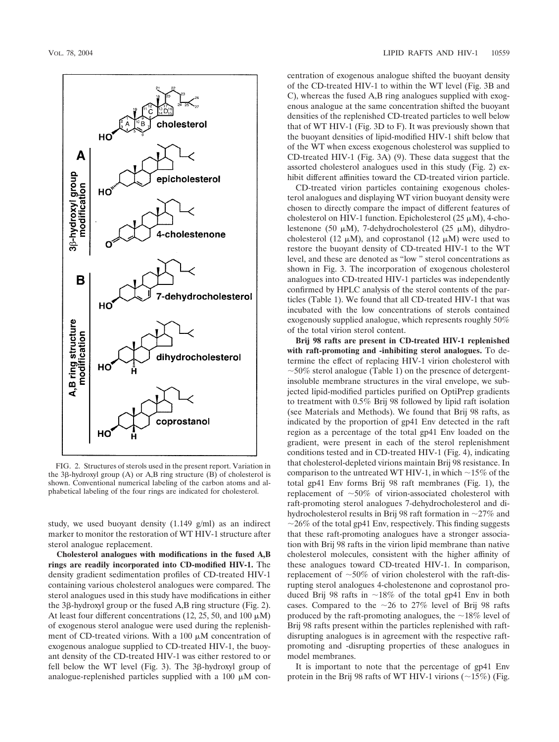

FIG. 2. Structures of sterols used in the present report. Variation in the 3 $\beta$ -hydroxyl group (A) or A,B ring structure (B) of cholesterol is shown. Conventional numerical labeling of the carbon atoms and alphabetical labeling of the four rings are indicated for cholesterol.

study, we used buoyant density (1.149 g/ml) as an indirect marker to monitor the restoration of WT HIV-1 structure after sterol analogue replacement.

**Cholesterol analogues with modifications in the fused A,B rings are readily incorporated into CD-modified HIV-1.** The density gradient sedimentation profiles of CD-treated HIV-1 containing various cholesterol analogues were compared. The sterol analogues used in this study have modifications in either the  $3\beta$ -hydroxyl group or the fused A,B ring structure (Fig. 2). At least four different concentrations  $(12, 25, 50, \text{ and } 100 \mu\text{M})$ of exogenous sterol analogue were used during the replenishment of CD-treated virions. With a 100  $\mu$ M concentration of exogenous analogue supplied to CD-treated HIV-1, the buoyant density of the CD-treated HIV-1 was either restored to or fell below the WT level (Fig. 3). The  $3\beta$ -hydroxyl group of analogue-replenished particles supplied with a 100  $\mu$ M concentration of exogenous analogue shifted the buoyant density of the CD-treated HIV-1 to within the WT level (Fig. 3B and C), whereas the fused A,B ring analogues supplied with exogenous analogue at the same concentration shifted the buoyant densities of the replenished CD-treated particles to well below that of WT HIV-1 (Fig. 3D to F). It was previously shown that the buoyant densities of lipid-modified HIV-1 shift below that of the WT when excess exogenous cholesterol was supplied to CD-treated HIV-1 (Fig. 3A) (9). These data suggest that the assorted cholesterol analogues used in this study (Fig. 2) exhibit different affinities toward the CD-treated virion particle.

CD-treated virion particles containing exogenous cholesterol analogues and displaying WT virion buoyant density were chosen to directly compare the impact of different features of cholesterol on HIV-1 function. Epicholesterol  $(25 \mu M)$ , 4-cholestenone (50  $\mu$ M), 7-dehydrocholesterol (25  $\mu$ M), dihydrocholesterol (12  $\mu$ M), and coprostanol (12  $\mu$ M) were used to restore the buoyant density of CD-treated HIV-1 to the WT level, and these are denoted as "low " sterol concentrations as shown in Fig. 3. The incorporation of exogenous cholesterol analogues into CD-treated HIV-1 particles was independently confirmed by HPLC analysis of the sterol contents of the particles (Table 1). We found that all CD-treated HIV-1 that was incubated with the low concentrations of sterols contained exogenously supplied analogue, which represents roughly 50% of the total virion sterol content.

**Brij 98 rafts are present in CD-treated HIV-1 replenished with raft-promoting and -inhibiting sterol analogues.** To determine the effect of replacing HIV-1 virion cholesterol with  $\sim$ 50% sterol analogue (Table 1) on the presence of detergentinsoluble membrane structures in the viral envelope, we subjected lipid-modified particles purified on OptiPrep gradients to treatment with 0.5% Brij 98 followed by lipid raft isolation (see Materials and Methods). We found that Brij 98 rafts, as indicated by the proportion of gp41 Env detected in the raft region as a percentage of the total gp41 Env loaded on the gradient, were present in each of the sterol replenishment conditions tested and in CD-treated HIV-1 (Fig. 4), indicating that cholesterol-depleted virions maintain Brij 98 resistance. In comparison to the untreated WT HIV-1, in which  $\sim$ 15% of the total gp41 Env forms Brij 98 raft membranes (Fig. 1), the replacement of  $\sim 50\%$  of virion-associated cholesterol with raft-promoting sterol analogues 7-dehydrocholesterol and dihydrocholesterol results in Brij 98 raft formation in  $\sim$ 27% and  $\sim$ 26% of the total gp41 Env, respectively. This finding suggests that these raft-promoting analogues have a stronger association with Brij 98 rafts in the virion lipid membrane than native cholesterol molecules, consistent with the higher affinity of these analogues toward CD-treated HIV-1. In comparison, replacement of  $~50\%$  of virion cholesterol with the raft-disrupting sterol analogues 4-cholestenone and coprostanol produced Brij 98 rafts in  $\sim 18\%$  of the total gp41 Env in both cases. Compared to the  $\sim$ 26 to 27% level of Brij 98 rafts produced by the raft-promoting analogues, the  $\sim$ 18% level of Brij 98 rafts present within the particles replenished with raftdisrupting analogues is in agreement with the respective raftpromoting and -disrupting properties of these analogues in model membranes.

It is important to note that the percentage of gp41 Env protein in the Brij 98 rafts of WT HIV-1 virions  $(\sim 15\%)$  (Fig.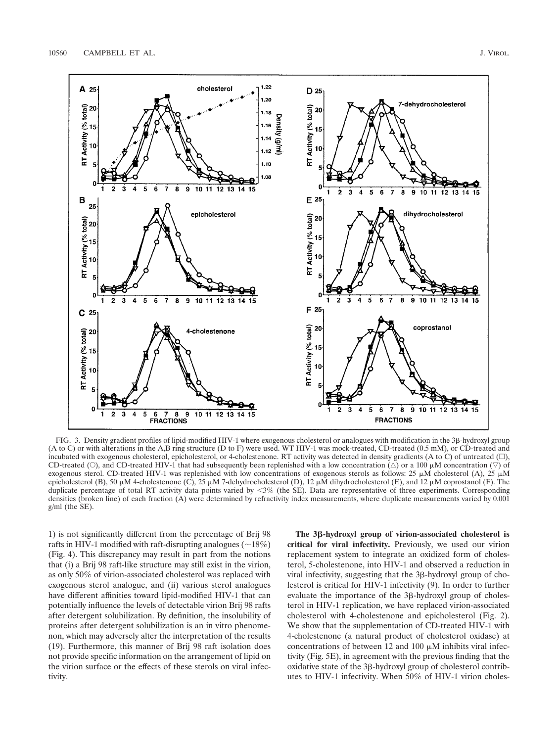

FIG. 3. Density gradient profiles of lipid-modified HIV-1 where exogenous cholesterol or analogues with modification in the 3β-hydroxyl group (A to C) or with alterations in the A,B ring structure (D to F) were used. WT HIV-1 was mock-treated, CD-treated (0.5 mM), or CD-treated and incubated with exogenous cholesterol, epicholesterol, or 4-cholestenone. RT activity was detected in density gradients (A to C) of untreated  $(\Box)$ , CD-treated (O), and CD-treated HIV-1 that had subsequently been replenished with a low concentration ( $\Delta$ ) or a 100  $\mu$ M concentration ( $\nabla$ ) of exogenous sterol. CD-treated HIV-1 was replenished with low concentrations of exogenous sterols as follows: 25  $\mu$ M cholesterol (A), 25  $\mu$ M epicholesterol (B), 50  $\mu$ M 4-cholestenone (C), 25  $\mu$ M 7-dehydrocholesterol (D), 12  $\mu$ M dihydrocholesterol (E), and 12  $\mu$ M coprostanol (F). The duplicate percentage of total RT activity data points varied by <3% (the SE). Data are representative of three experiments. Corresponding densities (broken line) of each fraction (A) were determined by refractivity index measurements, where duplicate measurements varied by 0.001 g/ml (the SE).

1) is not significantly different from the percentage of Brij 98 rafts in HIV-1 modified with raft-disrupting analogues  $(\sim 18\%)$ (Fig. 4). This discrepancy may result in part from the notions that (i) a Brij 98 raft-like structure may still exist in the virion, as only 50% of virion-associated cholesterol was replaced with exogenous sterol analogue, and (ii) various sterol analogues have different affinities toward lipid-modified HIV-1 that can potentially influence the levels of detectable virion Brij 98 rafts after detergent solubilization. By definition, the insolubility of proteins after detergent solubilization is an in vitro phenomenon, which may adversely alter the interpretation of the results (19). Furthermore, this manner of Brij 98 raft isolation does not provide specific information on the arrangement of lipid on the virion surface or the effects of these sterols on viral infectivity.

**The 3-hydroxyl group of virion-associated cholesterol is critical for viral infectivity.** Previously, we used our virion replacement system to integrate an oxidized form of cholesterol, 5-cholestenone, into HIV-1 and observed a reduction in viral infectivity, suggesting that the 3ß-hydroxyl group of cholesterol is critical for HIV-1 infectivity (9). In order to further evaluate the importance of the 3<sub>B</sub>-hydroxyl group of cholesterol in HIV-1 replication, we have replaced virion-associated cholesterol with 4-cholestenone and epicholesterol (Fig. 2). We show that the supplementation of CD-treated HIV-1 with 4-cholestenone (a natural product of cholesterol oxidase) at concentrations of between 12 and 100  $\mu$ M inhibits viral infectivity (Fig. 5E), in agreement with the previous finding that the oxidative state of the 3ß-hydroxyl group of cholesterol contributes to HIV-1 infectivity. When 50% of HIV-1 virion choles-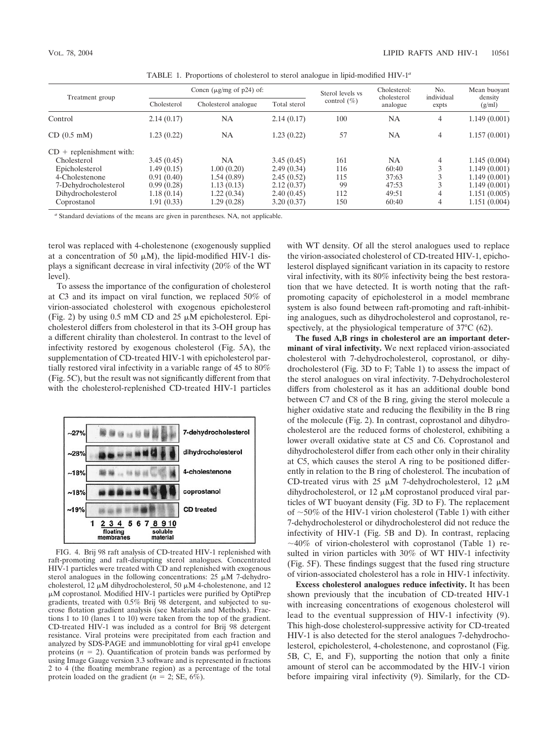| Treatment group            | Concn ( $\mu$ g/mg of p24) of: |                      |              | Sterol levels vs | Cholesterol:<br>cholesterol | No.<br>individual | Mean buoyant      |
|----------------------------|--------------------------------|----------------------|--------------|------------------|-----------------------------|-------------------|-------------------|
|                            | Cholesterol                    | Cholesterol analogue | Total sterol | control $(\% )$  | analogue                    | expts             | density<br>(g/ml) |
| Control                    | 2.14(0.17)                     | <b>NA</b>            | 2.14(0.17)   | 100              | <b>NA</b>                   | $\overline{4}$    | 1.149(0.001)      |
| CD (0.5 mM)                | 1.23 (0.22)                    | <b>NA</b>            | 1.23(0.22)   | 57               | <b>NA</b>                   | $\overline{4}$    | 1.157(0.001)      |
| $CD$ + replenishment with: |                                |                      |              |                  |                             |                   |                   |
| Cholesterol                | 3.45(0.45)                     | <b>NA</b>            | 3.45(0.45)   | 161              | NA                          | 4                 | 1.145(0.004)      |
| Epicholesterol             | 1.49(0.15)                     | 1.00(0.20)           | 2.49(0.34)   | 116              | 60:40                       |                   | 1.149(0.001)      |
| 4-Cholestenone             | 0.91(0.40)                     | 1.54 (0.89)          | 2.45(0.52)   | 115              | 37:63                       |                   | 1.149(0.001)      |
| 7-Dehydrocholesterol       | 0.99(0.28)                     | 1.13(0.13)           | 2.12(0.37)   | 99               | 47:53                       |                   | 1.149(0.001)      |
| Dihydrocholesterol         | 1.18 (0.14)                    | 1.22(0.34)           | 2.40(0.45)   | 112              | 49:51                       | 4                 | 1.151(0.005)      |
| Coprostanol                | 1.91(0.33)                     | 1.29(0.28)           | 3.20(0.37)   | 150              | 60:40                       | 4                 | 1.151(0.004)      |

TABLE 1. Proportions of cholesterol to sterol analogue in lipid-modified HIV-1*<sup>a</sup>*

*<sup>a</sup>* Standard deviations of the means are given in parentheses. NA, not applicable.

terol was replaced with 4-cholestenone (exogenously supplied at a concentration of 50  $\mu$ M), the lipid-modified HIV-1 displays a significant decrease in viral infectivity (20% of the WT level).

To assess the importance of the configuration of cholesterol at C3 and its impact on viral function, we replaced 50% of virion-associated cholesterol with exogenous epicholesterol (Fig. 2) by using 0.5 mM CD and 25  $\mu$ M epicholesterol. Epicholesterol differs from cholesterol in that its 3-OH group has a different chirality than cholesterol. In contrast to the level of infectivity restored by exogenous cholesterol (Fig. 5A), the supplementation of CD-treated HIV-1 with epicholesterol partially restored viral infectivity in a variable range of 45 to 80% (Fig. 5C), but the result was not significantly different from that with the cholesterol-replenished CD-treated HIV-1 particles



FIG. 4. Brij 98 raft analysis of CD-treated HIV-1 replenished with raft-promoting and raft-disrupting sterol analogues. Concentrated HIV-1 particles were treated with CD and replenished with exogenous sterol analogues in the following concentrations:  $25 \mu M$  7-dehydrocholesterol, 12  $\mu$ M dihydrocholesterol, 50  $\mu$ M 4-cholestenone, and 12 -M coprostanol. Modified HIV-1 particles were purified by OptiPrep gradients, treated with 0.5% Brij 98 detergent, and subjected to sucrose flotation gradient analysis (see Materials and Methods). Fractions 1 to 10 (lanes 1 to 10) were taken from the top of the gradient. CD-treated HIV-1 was included as a control for Brij 98 detergent resistance. Viral proteins were precipitated from each fraction and analyzed by SDS-PAGE and immunoblotting for viral gp41 envelope proteins  $(n = 2)$ . Quantification of protein bands was performed by using Image Gauge version 3.3 software and is represented in fractions 2 to 4 (the floating membrane region) as a percentage of the total protein loaded on the gradient  $(n = 2; SE, 6\%)$ .

with WT density. Of all the sterol analogues used to replace the virion-associated cholesterol of CD-treated HIV-1, epicholesterol displayed significant variation in its capacity to restore viral infectivity, with its 80% infectivity being the best restoration that we have detected. It is worth noting that the raftpromoting capacity of epicholesterol in a model membrane system is also found between raft-promoting and raft-inhibiting analogues, such as dihydrocholesterol and coprostanol, respectively, at the physiological temperature of 37°C (62).

**The fused A,B rings in cholesterol are an important determinant of viral infectivity.** We next replaced virion-associated cholesterol with 7-dehydrocholesterol, coprostanol, or dihydrocholesterol (Fig. 3D to F; Table 1) to assess the impact of the sterol analogues on viral infectivity. 7-Dehydrocholesterol differs from cholesterol as it has an additional double bond between C7 and C8 of the B ring, giving the sterol molecule a higher oxidative state and reducing the flexibility in the B ring of the molecule (Fig. 2). In contrast, coprostanol and dihydrocholesterol are the reduced forms of cholesterol, exhibiting a lower overall oxidative state at C5 and C6. Coprostanol and dihydrocholesterol differ from each other only in their chirality at C5, which causes the sterol A ring to be positioned differently in relation to the B ring of cholesterol. The incubation of CD-treated virus with  $25 \mu M$  7-dehydrocholesterol,  $12 \mu M$ dihydrocholesterol, or  $12 \mu M$  coprostanol produced viral particles of WT buoyant density (Fig. 3D to F). The replacement of  $\sim$ 50% of the HIV-1 virion cholesterol (Table 1) with either 7-dehydrocholesterol or dihydrocholesterol did not reduce the infectivity of HIV-1 (Fig. 5B and D). In contrast, replacing  $\sim$ 40% of virion-cholesterol with coprostanol (Table 1) resulted in virion particles with 30% of WT HIV-1 infectivity (Fig. 5F). These findings suggest that the fused ring structure of virion-associated cholesterol has a role in HIV-1 infectivity.

**Excess cholesterol analogues reduce infectivity.** It has been shown previously that the incubation of CD-treated HIV-1 with increasing concentrations of exogenous cholesterol will lead to the eventual suppression of HIV-1 infectivity (9). This high-dose cholesterol-suppressive activity for CD-treated HIV-1 is also detected for the sterol analogues 7-dehydrocholesterol, epicholesterol, 4-cholestenone, and coprostanol (Fig. 5B, C, E, and F), supporting the notion that only a finite amount of sterol can be accommodated by the HIV-1 virion before impairing viral infectivity (9). Similarly, for the CD-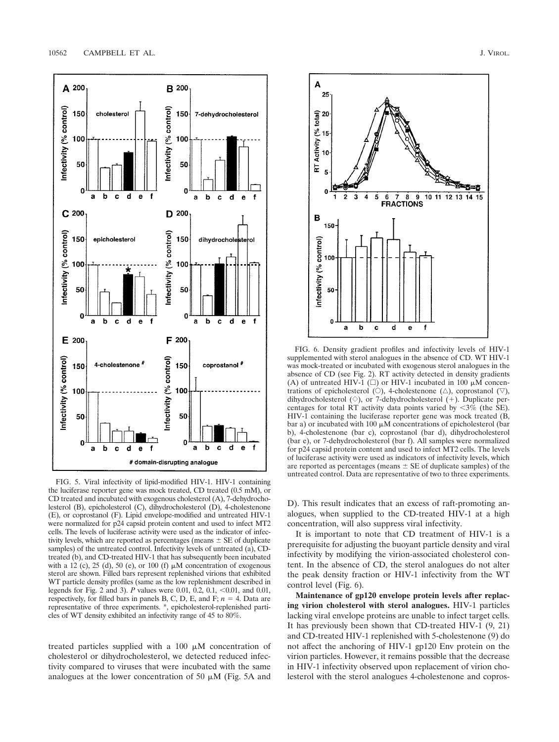

FIG. 5. Viral infectivity of lipid-modified HIV-1. HIV-1 containing the luciferase reporter gene was mock treated, CD treated (0.5 mM), or CD treated and incubated with exogenous cholesterol (A), 7-dehydrocholesterol (B), epicholesterol (C), dihydrocholesterol (D), 4-cholestenone (E), or coprostanol (F). Lipid envelope-modified and untreated HIV-1 were normalized for p24 capsid protein content and used to infect MT2 cells. The levels of luciferase activity were used as the indicator of infectivity levels, which are reported as percentages (means  $\pm$  SE of duplicate samples) of the untreated control. Infectivity levels of untreated (a), CDtreated (b), and CD-treated HIV-1 that has subsequently been incubated with a 12 (c), 25 (d), 50 (e), or 100 (f)  $\mu$ M concentration of exogenous sterol are shown. Filled bars represent replenished virions that exhibited WT particle density profiles (same as the low replenishment described in legends for Fig. 2 and 3). *P* values were 0.01, 0.2, 0.1, <0.01, and 0.01, respectively, for filled bars in panels B, C, D, E, and F;  $n = 4$ . Data are representative of three experiments. \*, epicholesterol-replenished particles of WT density exhibited an infectivity range of 45 to 80%.

treated particles supplied with a 100  $\mu$ M concentration of cholesterol or dihydrocholesterol, we detected reduced infectivity compared to viruses that were incubated with the same analogues at the lower concentration of 50  $\mu$ M (Fig. 5A and



FIG. 6. Density gradient profiles and infectivity levels of HIV-1 supplemented with sterol analogues in the absence of CD. WT HIV-1 was mock-treated or incubated with exogenous sterol analogues in the absence of CD (see Fig. 2). RT activity detected in density gradients (A) of untreated HIV-1 ( $\square$ ) or HIV-1 incubated in 100  $\mu$ M concentrations of epicholesterol ( $\circ$ ), 4-cholestenone ( $\triangle$ ), coprostanol ( $\triangledown$ ), dihydrocholesterol ( $\diamond$ ), or 7-dehydrocholesterol (+). Duplicate percentages for total RT activity data points varied by  $\langle 3\%$  (the SE). HIV-1 containing the luciferase reporter gene was mock treated (B, bar a) or incubated with 100  $\mu$ M concentrations of epicholesterol (bar b), 4-cholestenone (bar c), coprostanol (bar d), dihydrocholesterol (bar e), or 7-dehydrocholesterol (bar f). All samples were normalized for p24 capsid protein content and used to infect MT2 cells. The levels of luciferase activity were used as indicators of infectivity levels, which are reported as percentages (means  $\pm$  SE of duplicate samples) of the untreated control. Data are representative of two to three experiments.

D). This result indicates that an excess of raft-promoting analogues, when supplied to the CD-treated HIV-1 at a high concentration, will also suppress viral infectivity.

It is important to note that CD treatment of HIV-1 is a prerequisite for adjusting the buoyant particle density and viral infectivity by modifying the virion-associated cholesterol content. In the absence of CD, the sterol analogues do not alter the peak density fraction or HIV-1 infectivity from the WT control level (Fig. 6).

**Maintenance of gp120 envelope protein levels after replacing virion cholesterol with sterol analogues.** HIV-1 particles lacking viral envelope proteins are unable to infect target cells. It has previously been shown that CD-treated HIV-1 (9, 21) and CD-treated HIV-1 replenished with 5-cholestenone (9) do not affect the anchoring of HIV-1 gp120 Env protein on the virion particles. However, it remains possible that the decrease in HIV-1 infectivity observed upon replacement of virion cholesterol with the sterol analogues 4-cholestenone and copros-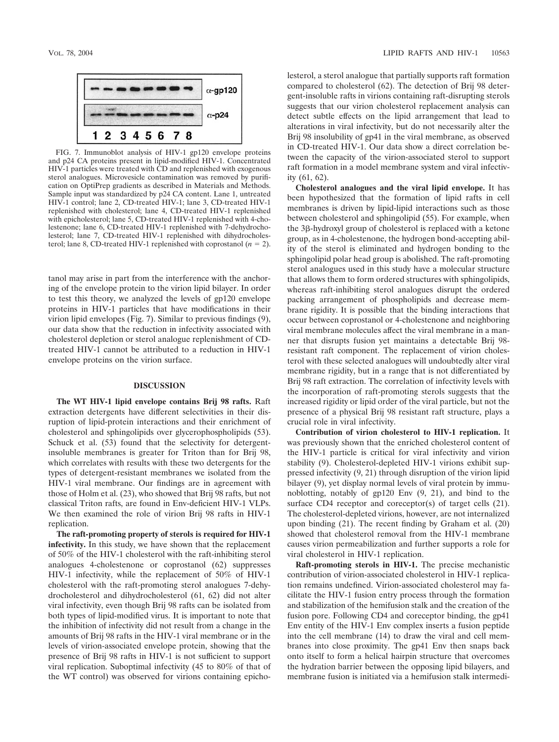

FIG. 7. Immunoblot analysis of HIV-1 gp120 envelope proteins and p24 CA proteins present in lipid-modified HIV-1. Concentrated HIV-1 particles were treated with CD and replenished with exogenous sterol analogues. Microvesicle contamination was removed by purification on OptiPrep gradients as described in Materials and Methods. Sample input was standardized by p24 CA content. Lane 1, untreated HIV-1 control; lane 2, CD-treated HIV-1; lane 3, CD-treated HIV-1 replenished with cholesterol; lane 4, CD-treated HIV-1 replenished with epicholesterol; lane 5, CD-treated HIV-1 replenished with 4-cholestenone; lane 6, CD-treated HIV-1 replenished with 7-dehydrocholesterol; lane 7, CD-treated HIV-1 replenished with dihydrocholesterol; lane 8, CD-treated HIV-1 replenished with coprostanol  $(n = 2)$ .

tanol may arise in part from the interference with the anchoring of the envelope protein to the virion lipid bilayer. In order to test this theory, we analyzed the levels of gp120 envelope proteins in HIV-1 particles that have modifications in their virion lipid envelopes (Fig. 7). Similar to previous findings (9), our data show that the reduction in infectivity associated with cholesterol depletion or sterol analogue replenishment of CDtreated HIV-1 cannot be attributed to a reduction in HIV-1 envelope proteins on the virion surface.

### **DISCUSSION**

**The WT HIV-1 lipid envelope contains Brij 98 rafts.** Raft extraction detergents have different selectivities in their disruption of lipid-protein interactions and their enrichment of cholesterol and sphingolipids over glycerophospholipids (53). Schuck et al.  $(53)$  found that the selectivity for detergentinsoluble membranes is greater for Triton than for Brij 98, which correlates with results with these two detergents for the types of detergent-resistant membranes we isolated from the HIV-1 viral membrane. Our findings are in agreement with those of Holm et al. (23), who showed that Brij 98 rafts, but not classical Triton rafts, are found in Env-deficient HIV-1 VLPs. We then examined the role of virion Brij 98 rafts in HIV-1 replication.

**The raft-promoting property of sterols is required for HIV-1 infectivity.** In this study, we have shown that the replacement of 50% of the HIV-1 cholesterol with the raft-inhibiting sterol analogues 4-cholestenone or coprostanol (62) suppresses HIV-1 infectivity, while the replacement of 50% of HIV-1 cholesterol with the raft-promoting sterol analogues 7-dehydrocholesterol and dihydrocholesterol (61, 62) did not alter viral infectivity, even though Brij 98 rafts can be isolated from both types of lipid-modified virus. It is important to note that the inhibition of infectivity did not result from a change in the amounts of Brij 98 rafts in the HIV-1 viral membrane or in the levels of virion-associated envelope protein, showing that the presence of Brij 98 rafts in HIV-1 is not sufficient to support viral replication. Suboptimal infectivity (45 to 80% of that of the WT control) was observed for virions containing epicholesterol, a sterol analogue that partially supports raft formation compared to cholesterol (62). The detection of Brij 98 detergent-insoluble rafts in virions containing raft-disrupting sterols suggests that our virion cholesterol replacement analysis can detect subtle effects on the lipid arrangement that lead to alterations in viral infectivity, but do not necessarily alter the Brij 98 insolubility of gp41 in the viral membrane, as observed in CD-treated HIV-1. Our data show a direct correlation between the capacity of the virion-associated sterol to support raft formation in a model membrane system and viral infectivity (61, 62).

**Cholesterol analogues and the viral lipid envelope.** It has been hypothesized that the formation of lipid rafts in cell membranes is driven by lipid-lipid interactions such as those between cholesterol and sphingolipid (55). For example, when the 3<sub>B</sub>-hydroxyl group of cholesterol is replaced with a ketone group, as in 4-cholestenone, the hydrogen bond-accepting ability of the sterol is eliminated and hydrogen bonding to the sphingolipid polar head group is abolished. The raft-promoting sterol analogues used in this study have a molecular structure that allows them to form ordered structures with sphingolipids, whereas raft-inhibiting sterol analogues disrupt the ordered packing arrangement of phospholipids and decrease membrane rigidity. It is possible that the binding interactions that occur between coprostanol or 4-cholestenone and neighboring viral membrane molecules affect the viral membrane in a manner that disrupts fusion yet maintains a detectable Brij 98 resistant raft component. The replacement of virion cholesterol with these selected analogues will undoubtedly alter viral membrane rigidity, but in a range that is not differentiated by Brij 98 raft extraction. The correlation of infectivity levels with the incorporation of raft-promoting sterols suggests that the increased rigidity or lipid order of the viral particle, but not the presence of a physical Brij 98 resistant raft structure, plays a crucial role in viral infectivity.

**Contribution of virion cholesterol to HIV-1 replication.** It was previously shown that the enriched cholesterol content of the HIV-1 particle is critical for viral infectivity and virion stability (9). Cholesterol-depleted HIV-1 virions exhibit suppressed infectivity (9, 21) through disruption of the virion lipid bilayer (9), yet display normal levels of viral protein by immunoblotting, notably of gp120 Env (9, 21), and bind to the surface CD4 receptor and coreceptor(s) of target cells (21). The cholesterol-depleted virions, however, are not internalized upon binding (21). The recent finding by Graham et al. (20) showed that cholesterol removal from the HIV-1 membrane causes virion permeabilization and further supports a role for viral cholesterol in HIV-1 replication.

**Raft-promoting sterols in HIV-1.** The precise mechanistic contribution of virion-associated cholesterol in HIV-1 replication remains undefined. Virion-associated cholesterol may facilitate the HIV-1 fusion entry process through the formation and stabilization of the hemifusion stalk and the creation of the fusion pore. Following CD4 and coreceptor binding, the gp41 Env entity of the HIV-1 Env complex inserts a fusion peptide into the cell membrane (14) to draw the viral and cell membranes into close proximity. The gp41 Env then snaps back onto itself to form a helical hairpin structure that overcomes the hydration barrier between the opposing lipid bilayers, and membrane fusion is initiated via a hemifusion stalk intermedi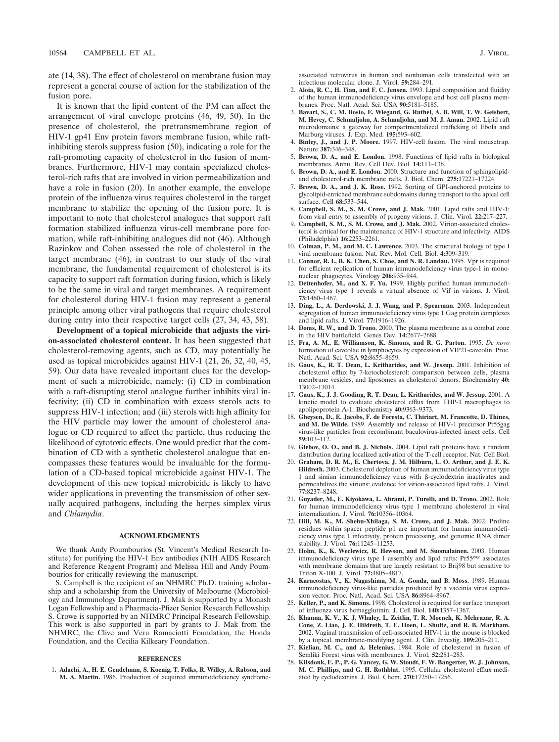ate (14, 38). The effect of cholesterol on membrane fusion may represent a general course of action for the stabilization of the fusion pore.

It is known that the lipid content of the PM can affect the arrangement of viral envelope proteins (46, 49, 50). In the presence of cholesterol, the pretransmembrane region of HIV-1 gp41 Env protein favors membrane fusion, while raftinhibiting sterols suppress fusion (50), indicating a role for the raft-promoting capacity of cholesterol in the fusion of membranes. Furthermore, HIV-1 may contain specialized cholesterol-rich rafts that are involved in virion permeabilization and have a role in fusion (20). In another example, the envelope protein of the influenza virus requires cholesterol in the target membrane to stabilize the opening of the fusion pore. It is important to note that cholesterol analogues that support raft formation stabilized influenza virus-cell membrane pore formation, while raft-inhibiting analogues did not (46). Although Razinkov and Cohen assessed the role of cholesterol in the target membrane (46), in contrast to our study of the viral membrane, the fundamental requirement of cholesterol is its capacity to support raft formation during fusion, which is likely to be the same in viral and target membranes. A requirement for cholesterol during HIV-1 fusion may represent a general principle among other viral pathogens that require cholesterol during entry into their respective target cells (27, 34, 43, 58).

**Development of a topical microbicide that adjusts the virion-associated cholesterol content.** It has been suggested that cholesterol-removing agents, such as CD, may potentially be used as topical microbicides against HIV-1 (21, 26, 32, 40, 45, 59). Our data have revealed important clues for the development of such a microbicide, namely: (i) CD in combination with a raft-disrupting sterol analogue further inhibits viral infectivity; (ii) CD in combination with excess sterols acts to suppress HIV-1 infection; and (iii) sterols with high affinity for the HIV particle may lower the amount of cholesterol analogue or CD required to affect the particle, thus reducing the likelihood of cytotoxic effects. One would predict that the combination of CD with a synthetic cholesterol analogue that encompasses these features would be invaluable for the formulation of a CD-based topical microbicide against HIV-1. The development of this new topical microbicide is likely to have wider applications in preventing the transmission of other sexually acquired pathogens, including the herpes simplex virus and *Chlamydia*.

#### **ACKNOWLEDGMENTS**

We thank Andy Poumbourios (St. Vincent's Medical Research Institute) for purifying the HIV-1 Env antibodies (NIH AIDS Research and Reference Reagent Program) and Melissa Hill and Andy Poumbourios for critically reviewing the manuscript.

S. Campbell is the recipient of an NHMRC Ph.D. training scholarship and a scholarship from the University of Melbourne (Microbiology and Immunology Department). J. Mak is supported by a Monash Logan Fellowship and a Pharmacia-Pfizer Senior Research Fellowship. S. Crowe is supported by an NHMRC Principal Research Fellowship. This work is also supported in part by grants to J. Mak from the NHMRC, the Clive and Vera Ramaciotti Foundation, the Honda Foundation, and the Cecilia Kilkeary Foundation.

#### **REFERENCES**

1. **Adachi, A., H. E. Gendelman, S. Koenig, T. Folks, R. Willey, A. Rabson, and M. A. Martin.** 1986. Production of acquired immunodeficiency syndrome-

associated retrovirus in human and nonhuman cells transfected with an infectious molecular clone. J. Virol. **59:**284–291.

- 2. **Aloia, R. C., H. Tian, and F. C. Jensen.** 1993. Lipid composition and fluidity of the human immunodeficiency virus envelope and host cell plasma membranes. Proc. Natl. Acad. Sci. USA **90:**5181–5185.
- 3. **Bavari, S., C. M. Bosio, E. Wiegand, G. Ruthel, A. B. Will, T. W. Geisbert, M. Hevey, C. Schmaljohn, A. Schmaljohn, and M. J. Aman.** 2002. Lipid raft microdomains: a gateway for compartmentalized trafficking of Ebola and Marburg viruses. J. Exp. Med. **195:**593–602.
- 4. **Binley, J., and J. P. Moore.** 1997. HIV-cell fusion. The viral mousetrap. Nature **387:**346–348.
- 5. **Brown, D. A., and E. London.** 1998. Functions of lipid rafts in biological membranes. Annu. Rev. Cell Dev. Biol. **14:**111–136.
- 6. **Brown, D. A., and E. London.** 2000. Structure and function of sphingolipidand cholesterol-rich membrane rafts. J. Biol. Chem. **275:**17221–17224.
- 7. **Brown, D. A., and J. K. Rose.** 1992. Sorting of GPI-anchored proteins to glycolipid-enriched membrane subdomains during transport to the apical cell surface. Cell **68:**533–544.
- 8. **Campbell, S. M., S. M. Crowe, and J. Mak.** 2001. Lipid rafts and HIV-1: from viral entry to assembly of progeny virions. J. Clin. Virol. **22:**217–227.
- 9. **Campbell, S. M., S. M. Crowe, and J. Mak.** 2002. Virion-associated cholesterol is critical for the maintenance of HIV-1 structure and infectivity. AIDS (Philadelphia) **16:**2253–2261.
- 10. **Colman, P. M., and M. C. Lawrence.** 2003. The structural biology of type I viral membrane fusion. Nat. Rev. Mol. Cell. Biol. **4:**309–319.
- 11. **Connor, R. I., B. K. Chen, S. Choe, and N. R. Landau.** 1995. Vpr is required for efficient replication of human immunodeficiency virus type-1 in mononuclear phagocytes. Virology **206:**935–944.
- 12. **Dettenhofer, M., and X. F. Yu.** 1999. Highly purified human immunodeficiency virus type 1 reveals a virtual absence of Vif in virions. J. Virol. **73:**1460–1467.
- 13. **Ding, L., A. Derdowski, J. J. Wang, and P. Spearman.** 2003. Independent segregation of human immunodeficiency virus type 1 Gag protein complexes and lipid rafts. J. Virol. **77:**1916–1926.
- 14. **Doms, R. W., and D. Trono.** 2000. The plasma membrane as a combat zone in the HIV battlefield. Genes Dev. **14:**2677–2688.
- 15. **Fra, A. M., E. Williamson, K. Simons, and R. G. Parton.** 1995. *De novo* formation of caveolae in lymphocytes by expression of VIP21-caveolin. Proc. Natl. Acad. Sci. USA **92:**8655–8659.
- 16. **Gaus, K., R. T. Dean, L. Kritharides, and W. Jessup.** 2001. Inhibition of cholesterol efflux by 7-ketocholesterol: comparison between cells, plasma membrane vesicles, and liposomes as cholesterol donors. Biochemistry **40:** 13002–13014.
- 17. **Gaus, K., J. J. Gooding, R. T. Dean, L. Kritharides, and W. Jessup.** 2001. A kinetic model to evaluate cholesterol efflux from THP-1 macrophages to apolipoprotein A-1. Biochemistry **40:**9363–9373.
- 18. **Gheysen, D., E. Jacobs, F. de Foresta, C. Thiriart, M. Francotte, D. Thines, and M. De Wilde.** 1989. Assembly and release of HIV-1 precursor Pr55gag virus-like particles from recombinant baculovirus-infected insect cells. Cell **59:**103–112.
- 19. **Glebov, O. O., and B. J. Nichols.** 2004. Lipid raft proteins have a random distribution during localized activation of the T-cell receptor. Nat. Cell Biol.
- 20. **Graham, D. R. M., E. Chertova, J. M. Hilburn, L. O. Arthur, and J. E. K. Hildreth.** 2003. Cholesterol depletion of human immunodeficiency virus type  $1$  and simian immunodeficiency virus with  $\beta$ -cyclodextrin inactivates and permeabilizes the virions: evidence for virion-associated lipid rafts. J. Virol. **77:**8237–8248.
- 21. **Guyader, M., E. Kiyokawa, L. Abrami, P. Turelli, and D. Trono.** 2002. Role for human immunodeficiency virus type 1 membrane cholesterol in viral internalization. J. Virol. **76:**10356–10364.
- 22. **Hill, M. K., M. Shehu-Xhilaga, S. M. Crowe, and J. Mak.** 2002. Proline residues within spacer peptide p1 are important for human immunodeficiency virus type 1 infectivity, protein processing, and genomic RNA dimer stability. J. Virol. **76:**11245–11253.
- 23. **Holm, K., K. Weclewicz, R. Hewson, and M. Suomalainen.** 2003. Human immunodeficiency virus type 1 assembly and lipid rafts: Pr55*gag* associates with membrane domains that are largely resistant to Brij98 but sensitive to Triton X-100. J. Virol. **77:**4805–4817.
- 24. **Karacostas, V., K. Nagashima, M. A. Gonda, and B. Moss.** 1989. Human immunodeficiency virus-like particles produced by a vaccinia virus expression vector. Proc. Natl. Acad. Sci. USA **86:**8964–8967.
- 25. **Keller, P., and K. Simons.** 1998. Cholesterol is required for surface transport of influenza virus hemagglutinin. J. Cell Biol. **140:**1357–1367.
- 26. **Khanna, K. V., K. J. Whaley, L. Zeitlin, T. R. Moench, K. Mehrazar, R. A. Cone, Z. Liao, J. E. Hildreth, T. E. Hoen, L. Shultz, and R. B. Markham.** 2002. Vaginal transmission of cell-associated HIV-1 in the mouse is blocked by a topical, membrane-modifying agent. J. Clin. Investig. **109:**205–211.
- 27. **Kielian, M. C., and A. Helenius.** 1984. Role of cholesterol in fusion of Semliki Forest virus with membranes. J. Virol. **52:**281–283.
- 28. **Kilsdonk, E. P., P. G. Yancey, G. W. Stoudt, F. W. Bangerter, W. J. Johnson, M. C. Phillips, and G. H. Rothblat.** 1995. Cellular cholesterol efflux mediated by cyclodextrins. J. Biol. Chem. **270:**17250–17256.